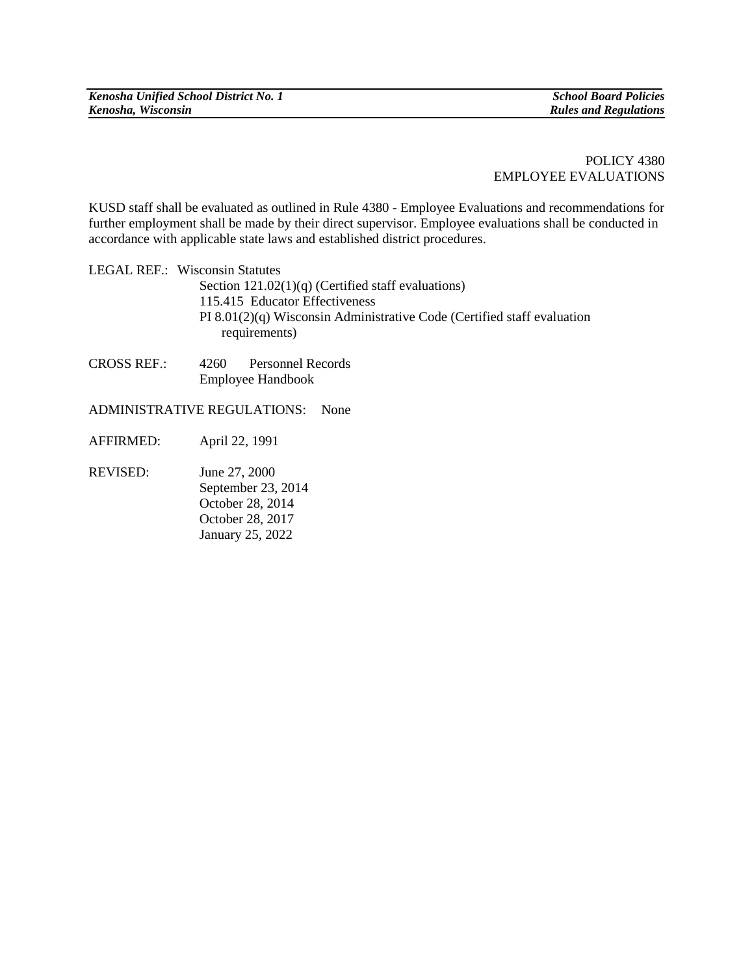POLICY 4380 EMPLOYEE EVALUATIONS

KUSD staff shall be evaluated as outlined in Rule 4380 - Employee Evaluations and recommendations for further employment shall be made by their direct supervisor. Employee evaluations shall be conducted in accordance with applicable state laws and established district procedures.

LEGAL REF.: Wisconsin Statutes Section 121.02(1)(q) (Certified staff evaluations) 115.415 Educator Effectiveness PI 8.01(2)(q) Wisconsin Administrative Code (Certified staff evaluation requirements)

CROSS REF.: 4260 Personnel Records Employee Handbook

ADMINISTRATIVE REGULATIONS: None

- AFFIRMED: April 22, 1991
- REVISED: June 27, 2000 September 23, 2014 October 28, 2014 October 28, 2017 January 25, 2022